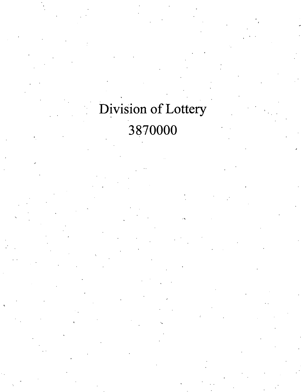## Division of Lottery 3870000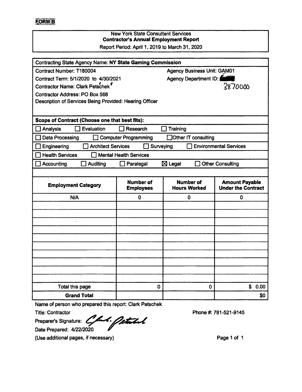## F.ORMlB

## New York State Consultant Services **Contractor's Annual Employment Report**

Report Period: April 1,2019 to March 31, 2020

| <b>Contracting State Agency Name: NY State Gaming Commission</b>                       |                                      |                                              |                                                    |  |
|----------------------------------------------------------------------------------------|--------------------------------------|----------------------------------------------|----------------------------------------------------|--|
| <b>Agency Business Unit: GAM01</b><br>Contract Number: T180004                         |                                      |                                              |                                                    |  |
| Contract Term: 5/1/2020 to 4/30/2021                                                   |                                      | Agency Department ID:                        |                                                    |  |
| Contractor Name: Clark Petschek <sup>1</sup>                                           |                                      |                                              | 3870000                                            |  |
| <b>Contractor Address: PO Box 568</b>                                                  |                                      |                                              |                                                    |  |
| Description of Services Being Provided: Hearing Officer                                |                                      |                                              |                                                    |  |
|                                                                                        |                                      |                                              |                                                    |  |
| Scope of Contract (Choose one that best fits):                                         |                                      |                                              |                                                    |  |
| Evaluation<br>Analysis                                                                 | Research                             | Training                                     |                                                    |  |
| Data Processing                                                                        | <b>Computer Programming</b>          | Other IT consulting<br>m                     |                                                    |  |
| <b>Environmental Services</b><br>Engineering<br><b>Architect Services</b><br>Surveying |                                      |                                              |                                                    |  |
| <b>Health Services</b>                                                                 | <b>Mental Health Services</b>        |                                              |                                                    |  |
| Accounting<br><b>Auditing</b>                                                          | Paralegal                            | $\boxtimes$ Legal<br><b>Other Consulting</b> |                                                    |  |
|                                                                                        |                                      |                                              |                                                    |  |
| <b>Employment Category</b>                                                             | <b>Number of</b><br><b>Employees</b> | <b>Number of</b><br><b>Hours Worked</b>      | <b>Amount Payable</b><br><b>Under the Contract</b> |  |
| N/A                                                                                    | 0                                    | 0                                            | 0                                                  |  |
|                                                                                        |                                      |                                              |                                                    |  |
|                                                                                        |                                      |                                              |                                                    |  |
|                                                                                        |                                      |                                              |                                                    |  |
|                                                                                        |                                      |                                              |                                                    |  |
|                                                                                        |                                      |                                              |                                                    |  |
|                                                                                        |                                      |                                              |                                                    |  |
|                                                                                        |                                      |                                              |                                                    |  |
|                                                                                        |                                      |                                              |                                                    |  |
|                                                                                        |                                      |                                              |                                                    |  |
|                                                                                        |                                      |                                              |                                                    |  |
|                                                                                        |                                      |                                              |                                                    |  |
| Total this page                                                                        | 0                                    | 0                                            | \$0.00                                             |  |

Name of person who prepared this report: Clark Petschek

Title: Contractor

Preparer's Signature: **Commentary**<br>Date Prepared: 4/22/2020

(Use additional pages, if necessary)

Phone #: 781-521-9145

Page <sup>1</sup> of <sup>1</sup>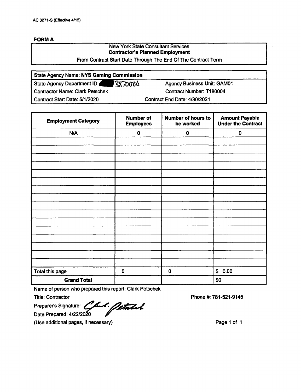| - 117 |  |
|-------|--|
|       |  |

## New York State Consultant Services **Contractor's Planned Employment**

From Contract Start Date Through The End Of The Contract Term

| <b>State Agency Name: NYS Gaming Commission</b> |                                    |  |
|-------------------------------------------------|------------------------------------|--|
| State Agency Department ID: 3870000             | <b>Agency Business Unit: GAM01</b> |  |
| <b>Contractor Name: Clark Petschek</b>          | <b>Contract Number: T180004</b>    |  |
| Contract Start Date: 5/1/2020                   | Contract End Date: 4/30/2021       |  |

| <b>Employment Category</b> | <b>Number of</b><br><b>Employees</b> | <b>Number of hours to</b><br>be worked | <b>Amount Payable</b><br><b>Under the Contract</b> |
|----------------------------|--------------------------------------|----------------------------------------|----------------------------------------------------|
| N/A                        | $\pmb{0}$                            | $\pmb{0}$                              | $\pmb{0}$                                          |
|                            |                                      |                                        |                                                    |
|                            |                                      |                                        |                                                    |
|                            |                                      |                                        |                                                    |
|                            |                                      |                                        |                                                    |
|                            |                                      |                                        |                                                    |
|                            |                                      |                                        |                                                    |
|                            |                                      |                                        |                                                    |
|                            |                                      |                                        |                                                    |
|                            |                                      |                                        |                                                    |
|                            |                                      |                                        |                                                    |
|                            |                                      |                                        |                                                    |
|                            |                                      |                                        |                                                    |
|                            |                                      |                                        |                                                    |
|                            |                                      |                                        |                                                    |
|                            |                                      |                                        |                                                    |
|                            |                                      |                                        |                                                    |
| Total this page            | $\bf{0}$                             | $\mathbf 0$                            | \$0.00                                             |
| <b>Grand Total</b>         |                                      |                                        | \$0                                                |

Name of person who prepared this report: Clark Petschek

Title: Contractor

Preparer's Signature: Preparer's Signature: *<i><i>A.*. **Petatel**<br>Date Prepared: 4/22/2020

(Use additional pages, if necessary)

Phone #: 781-521-9145

Page <sup>1</sup> of <sup>1</sup>